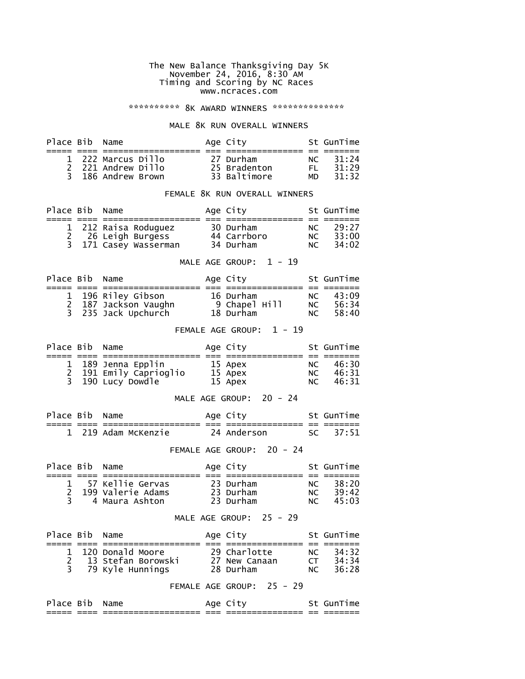#### The New Balance Thanksgiving Day 5K November 24, 2016, 8:30 AM Timing and Scoring by NC Races www.ncraces.com

## \*\*\*\*\*\*\*\*\*\*\* 8K AWARD WINNERS \*\*\*\*\*\*\*\*\*\*\*\*\*\*\*

#### MALE 8K RUN OVERALL WINNERS

| Place Bib Name |                                                                | Age City                                  |                  | St GunTime              |
|----------------|----------------------------------------------------------------|-------------------------------------------|------------------|-------------------------|
|                |                                                                |                                           |                  |                         |
|                | 1 222 Marcus Dillo<br>2 221 Andrew Dillo<br>3 186 Andrew Brown | 27 Durham<br>25 Bradenton<br>33 Baltimore | NC<br>FI.<br>MD. | 31:24<br>31:29<br>31:32 |

## FEMALE 8K RUN OVERALL WINNERS

| Place Bib Name |                       | Age City    |     | St GunTime |
|----------------|-----------------------|-------------|-----|------------|
|                |                       |             |     |            |
|                | 1 212 Raisa Roduguez  | 30 Durham   | NC  | 29:27      |
|                | 2 26 Leigh Burgess    | 44 Carrboro | NC. | 33:00      |
|                | 3 171 Casey Wasserman | 34 Durham   | NC. | 34:02      |

## MALE AGE GROUP:  $1 - 19$

| Place Bib Name |                                            | Age City      |     | St GunTime |
|----------------|--------------------------------------------|---------------|-----|------------|
|                |                                            |               |     |            |
|                | 1 196 Riley Gibson<br>2 187 Jackson Vaughn | 16 Durham     | NC  | 43:09      |
|                |                                            | 9 Chapel Hill | NC. | 56:34      |
|                | 3 235 Jack Upchurch                        | 18 Durham     | NC  | 58:40      |

# FEMALE AGE GROUP: 1 - 19

| Place Bib Name |                        | Age City |    | St GunTime |
|----------------|------------------------|----------|----|------------|
|                |                        |          |    |            |
|                | 1 189 Jenna Epplin     | 15 Apex  |    | NC 46:30   |
|                | 2 191 Emily Caprioglio | 15 Apex  |    | NC 46:31   |
|                | 3 190 Lucy Dowdle      | 15 Apex  | NC | 46:31      |

#### MALE AGE GROUP: 20 - 24

| Place Bib Name |                     | Age City    | St GunTime |
|----------------|---------------------|-------------|------------|
|                | 1 219 Adam McKenzie | 24 Anderson | SC 37:51   |

# FEMALE AGE GROUP: 20 - 24

| Place Bib Name |                                       | Age City               |            | St GunTime     |
|----------------|---------------------------------------|------------------------|------------|----------------|
|                |                                       |                        |            |                |
|                | 57 Kellie Gervas<br>199 Valerie Adams | 23 Durham<br>23 Durham | NC.<br>NC. | 38:20<br>39:42 |
|                | 4 Maura Ashton                        | 23 Durham              | NC         | 45:03          |

## MALE AGE GROUP: 25 - 29

| Place Bib Name |                    | Age City                  |      | St GunTime |
|----------------|--------------------|---------------------------|------|------------|
|                |                    |                           |      |            |
|                | 1 120 Donald Moore | 29 Charlotte              | NC   | 34:32      |
|                | 13 Stefan Borowski | 27 New Canaan             | CT - | 34:34      |
|                | 3 79 Kyle Hunnings | 28 Durham                 | NC   | 36:28      |
|                |                    | FEMALE AGE GROUP: 25 - 29 |      |            |
| Place Bib Name |                    | Age City                  |      | St GunTime |
|                |                    |                           |      |            |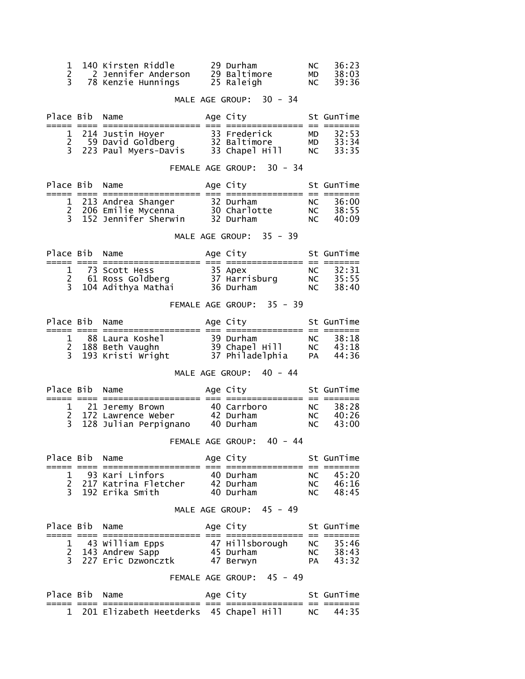| 1<br>$\overline{c}$<br>3              |            | 140 Kirsten Riddle<br>2 Jennifer Anderson    29 Baltimore<br>78 Kenzie Hunnings 25 Raleigh                                                    |             | 29 Durham                                 | <b>NC</b><br>MD<br><b>NC</b> | 36:23<br>38:03<br>39:36        |
|---------------------------------------|------------|-----------------------------------------------------------------------------------------------------------------------------------------------|-------------|-------------------------------------------|------------------------------|--------------------------------|
|                                       |            |                                                                                                                                               |             | MALE AGE GROUP: 30 - 34                   |                              |                                |
| Place Bib Name                        |            | ;==== ==== ==================== == =;                                                                                                         |             | Age City                                  |                              | St GunTime                     |
| 1<br>2 <sup>1</sup><br>3 <sup>7</sup> |            |                                                                                                                                               |             | :============= == =====:                  | MD<br>NC                     | 32:53<br>$MD = 33:34$<br>33:35 |
|                                       |            |                                                                                                                                               |             | FEMALE AGE GROUP: 30 - 34                 |                              |                                |
| Place Bib                             |            | Name                                                                                                                                          |             | Age City                                  |                              | St GunTime                     |
|                                       |            |                                                                                                                                               |             |                                           | <b>NC</b><br>NC<br>NC<br>NC  | 36:00<br>38:55<br>40:09        |
|                                       |            |                                                                                                                                               |             | MALE AGE GROUP: 35 - 39                   |                              |                                |
| Place Bib                             |            | Name                                                                                                                                          |             | Age City <b>Section</b>                   |                              | St GunTime                     |
|                                       |            |                                                                                                                                               |             |                                           | NC<br><b>NC</b>              | NC 32:31<br>35:55<br>38:40     |
|                                       |            |                                                                                                                                               |             | FEMALE AGE GROUP: 35 - 39                 |                              |                                |
| Place Bib Name                        |            |                                                                                                                                               |             | Age City<br>:========== == =====:         |                              | St GunTime                     |
|                                       |            |                                                                                                                                               |             |                                           | NC<br><b>PA</b>              | NC 38:18<br>43:18<br>44:36     |
|                                       |            |                                                                                                                                               |             | MALE AGE GROUP: 40 - 44                   |                              |                                |
| Place Bib                             | ===== ==== | Name                                                                                                                                          |             | Age City                                  |                              | St GunTime                     |
| 2<br>$\overline{3}$                   |            | 21 Jeremy Brown                 40 Carrboro<br>172 Lawrence Weber           42 Durham<br>1 21 Jeremy Brown<br>128 Julian Perpignano 40 Durham |             |                                           | NC<br><b>NC</b><br><b>NC</b> | 38:28<br>40:26<br>43:00        |
|                                       |            |                                                                                                                                               |             | FEMALE AGE GROUP: 40 - 44                 |                              |                                |
| Place Bib<br>===== ====               |            | Name                                                                                                                                          |             | Age City<br>:=====  ==  ==:               |                              | St GunTime                     |
| 1<br>2<br>3                           |            | 93 Kari Linfors<br>217 Katrina Fletcher<br>192 Erika Smith                                                                                    |             | 40 Durham<br>42 Durham<br>40 Durham       | NC<br><b>NC</b><br><b>NC</b> | 45:20<br>46:16<br>48:45        |
|                                       |            |                                                                                                                                               |             | MALE AGE GROUP: 45 - 49                   |                              |                                |
| Place Bib                             |            | Name                                                                                                                                          | $== = = ==$ | Age City                                  |                              | St GunTime                     |
| $\mathbf 1$<br>2<br>3                 |            | 43 William Epps<br>143 Andrew Sapp<br>227 Eric Dzwoncztk                                                                                      |             | 47 Hillsborough<br>45 Durham<br>47 Berwyn | NC<br><b>NC</b><br>PA        | 35:46<br>38:43<br>43:32        |
|                                       |            |                                                                                                                                               |             | FEMALE AGE GROUP: 45 - 49                 |                              |                                |
| Place Bib Name                        | ≔ ≕        |                                                                                                                                               |             | Age City<br>=======                       |                              | St GunTime                     |
| 1.                                    |            | 201 Elizabeth Heetderks                                                                                                                       |             | 45 Chapel Hill                            | NC.                          | 44:35                          |